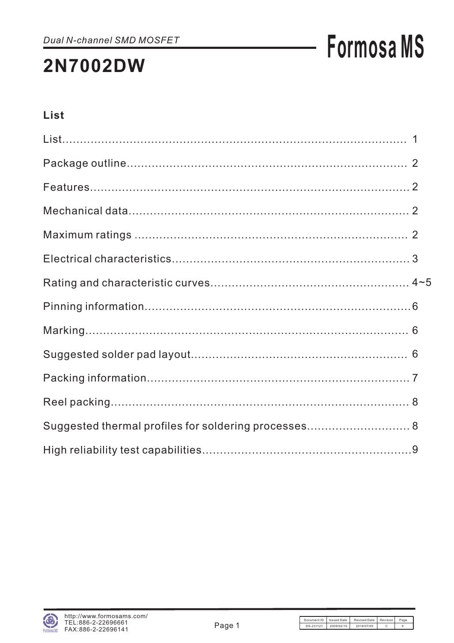# **Formosa MS**

### List

| Suggested thermal profiles for soldering processes 8 |  |
|------------------------------------------------------|--|
|                                                      |  |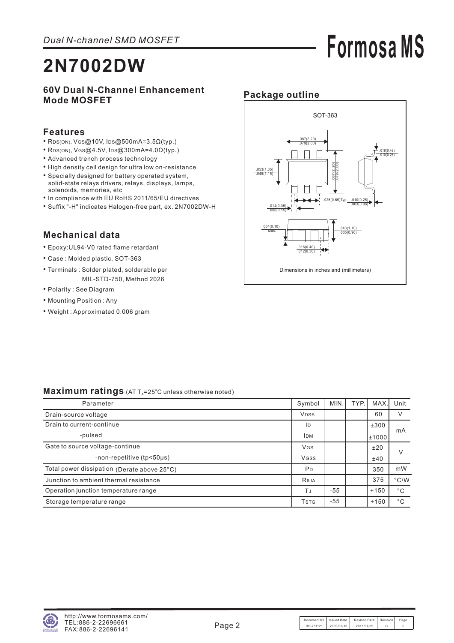## **Formosa MS**

### **2N7002DW**

#### **60V Dual N-Channel Enhancement Mode MOSFET**

#### **Features**

- RDS(ON),  $V$ GS@10V, IDS@500mA=3.5 $\Omega$ (typ.)
- RDS(ON),  $V$ GS@4.5V, IDS@300mA=4.0 $\Omega$ (typ.)
- Advanced trench process technology
- High density cell design for ultra low on-resistance
- Specially designed for battery operated system, solid-state relays drivers, relays, displays, lamps, solenoids, memories, etc
- In compliance with EU RoHS 2011/65/EU directives
- Suffix "-H" indicates Halogen-free part, ex. 2N7002DW-H

#### **Mechanical data**

- Epoxy:UL94-V0 rated flame retardant
- Case : Molded plastic, SOT-363
- Terminals : Solder plated, solderable per MIL-STD-750, Method 2026
- Polarity : See Diagram
- Mounting Position : Any
- Weight : Approximated 0.006 gram

#### **Package outline**



#### Maximum ratings (AT T<sub>A</sub>=25°C unless otherwise noted)

| Parameter                                   | Symbol                               | MIN.  | TYP. | <b>MAX</b> | Unit          |
|---------------------------------------------|--------------------------------------|-------|------|------------|---------------|
| Drain-source voltage                        | <b>VDSS</b>                          |       |      | 60         | V             |
| Drain to current-continue                   | ID                                   |       |      | ±300       |               |
| -pulsed                                     | <b>IDM</b>                           |       |      | ±1000      | mA            |
| Gate to source voltage-continue             | VGS                                  |       |      | ±20        | V             |
| -non-repetitive (tp<50µs)                   | <b>VGSS</b>                          |       |      | ±40        |               |
| Total power dissipation (Derate above 25°C) | P <sub>D</sub>                       |       |      | 350        | mW            |
| Junction to ambient thermal resistance      | Reja                                 |       |      | 375        | $\degree$ C/W |
| Operation junction temperature range        | TJ                                   | $-55$ |      | $+150$     | $^{\circ}$ C  |
| Storage temperature range                   | <b>T</b> <sub>S</sub> T <sub>G</sub> | $-55$ |      | $+150$     | $^{\circ}$ C  |

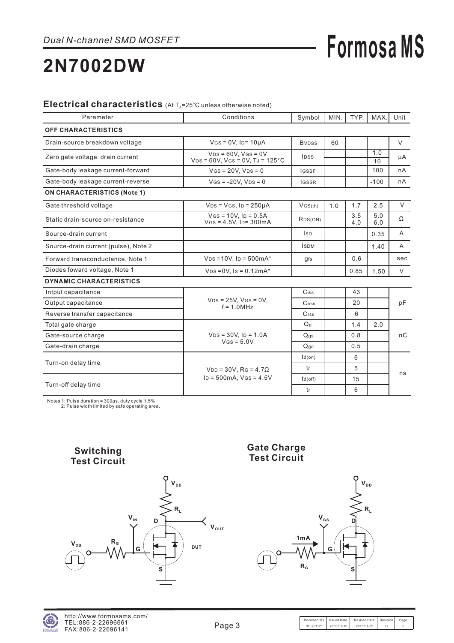## **Formosa MS**

### **2N7002DW**

#### Electrical characteristics (At T<sub>A</sub>=25°C unless otherwise noted)

| Parameter                            | Conditions                                                          | Symbol                      | MIN. | TYP.       | MAX.       | Unit         |
|--------------------------------------|---------------------------------------------------------------------|-----------------------------|------|------------|------------|--------------|
| <b>OFF CHARACTERISTICS</b>           |                                                                     |                             |      |            |            |              |
| Drain-source breakdown voltage       | $V$ GS = $0V$ , Ip= $10\mu A$                                       | <b>B</b> <sub>VDSS</sub>    | 60   |            |            | V            |
| Zero gate voltage drain current      | $VDS = 60V$ . $VGS = 0V$<br>$VDS = 60V$ , $VGS = 0V$ , $TJ = 125°C$ | <b>IDSS</b>                 |      |            | 1.0<br>10  | μA           |
| Gate-body leakage current-forward    | $V$ GS = 20V, $V$ DS = 0                                            | <b>IGSSF</b>                |      |            | 100        | nA           |
| Gate-body leakage current-reverse    | $V$ GS = -20V, $V$ DS = 0                                           | <b>IGSSR</b>                |      |            | $-100$     | nA           |
| <b>ON CHARACTERISTICS (Note 1)</b>   |                                                                     |                             |      |            |            |              |
| Gate threshold voltage               | $VDS = VGS$ , $ID = 250\mu A$                                       | VGS(th)                     | 1.0  | 1.7        | 2.5        | $\vee$       |
| Static drain-source on-resistance    | $V$ GS = 10V. ID = 0.5A<br>$V$ GS = 4.5V, ID= 300mA                 | RDS(ON)                     |      | 3.5<br>4.0 | 5.0<br>6.0 | Ω            |
| Source-drain current                 |                                                                     | <b>ISD</b>                  |      |            | 0.35       | A            |
| Source-drain current (pulse), Note 2 |                                                                     | <b>ISDM</b>                 |      |            | 1.40       | $\mathsf{A}$ |
| Forward transconductance, Note 1     | $V_{DS} = 10V$ , $I_D = 500mA^*$                                    | gfs                         |      | 0.6        |            | sec          |
| Diodes foward voltage, Note 1        | $V_{DS} = 0V$ , $Is = 0.12mA^*$                                     |                             |      | 0.85       | 1.50       | V            |
| <b>DYNAMIC CHARACTERISTICS</b>       |                                                                     |                             |      |            |            |              |
| Intput capacitance                   |                                                                     | Ciss                        |      | 43         |            |              |
| Output capacitance                   | $V_{DS} = 25V$ , $V_{GS} = 0V$ ,<br>$f = 1.0 MHz$                   | $\mathrm{C}$ <sub>oss</sub> |      | 20         |            | pF           |
| Reverse transfer capacitance         |                                                                     | $C$ <sub>rss</sub>          |      | 6          |            |              |
| Total gate charge                    |                                                                     | Q <sub>q</sub>              |      | 1.4        | 2.0        |              |
| Gate-source charge                   | $VDS = 30V$ , $ID = 1.0A$                                           | Q <sub>gs</sub>             |      | 0.8        |            | nC           |
| Gate-drain charge                    | $V$ GS = $5.0V$                                                     | Qqd                         |      | 0.5        |            |              |
| Turn-on delay time                   |                                                                     | $td($ on $)$                |      | 6          |            |              |
|                                      | $VDD = 30V$ , RG = 4.7 $\Omega$                                     | t <sub>r</sub>              |      | 5          |            |              |
|                                      | $ID = 500mA$ , $VGS = 4.5V$                                         | td(off)                     |      | 15         |            | ns           |
| Turn-off delay time                  |                                                                     | tr                          |      | 6          |            |              |

Notes 1: Pulse duration = 300μs, duty cycle 1.5% 2 Pulse width limited by safe operating area. :



#### **Gate Charge Test Circuit**



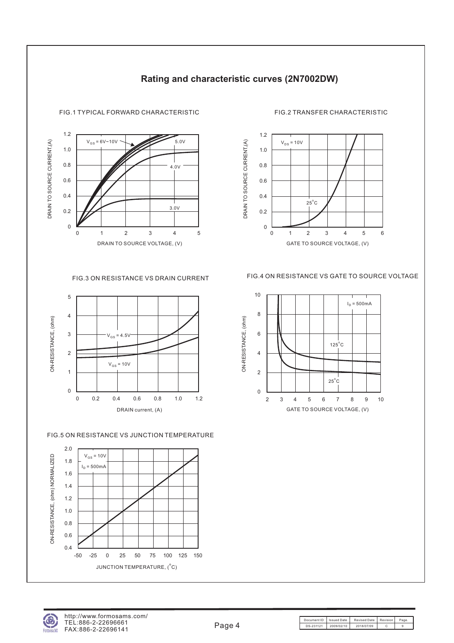

#### **Rating and characteristic curves (2N7002DW)**



#### FIG.5 ON RESISTANCE VS JUNCTION TEMPERATURE





#### FIG.1 TYPICAL FORWARD CHARACTERISTIC FIG.2 TRANSFER CHARACTERISTIC



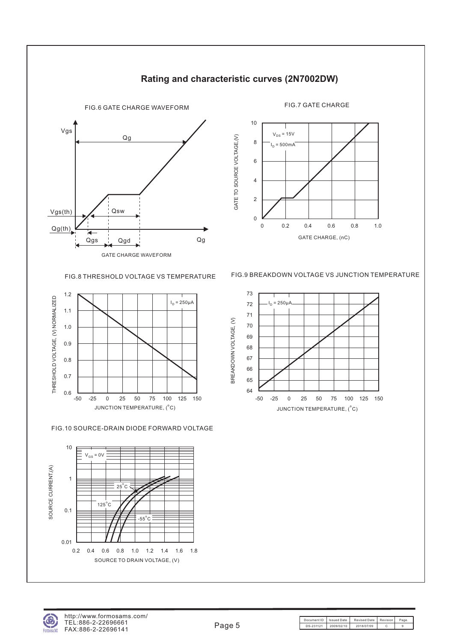

#### **Rating and characteristic curves (2N7002DW)**





FIG.10 SOURCE-DRAIN DIODE FORWARD VOLTAGE



FIG.8 THRESHOLD VOLTAGE VS TEMPERATURE FIG.9 BREAKDOWN VOLTAGE VS JUNCTION TEMPERATURE





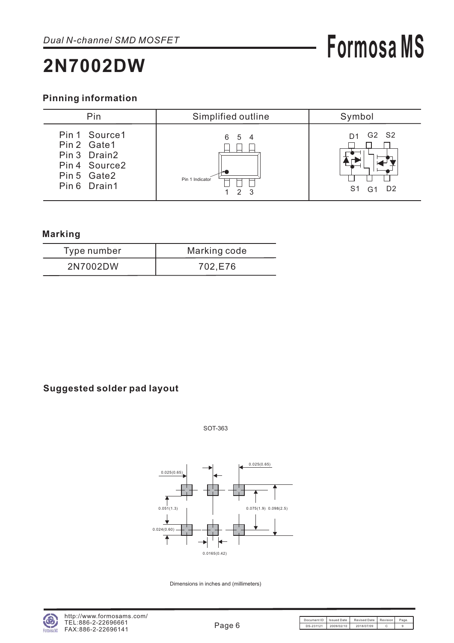#### **Pinning information**

| Pin                                                                                           | Simplified outline                        | Symbol                                                |
|-----------------------------------------------------------------------------------------------|-------------------------------------------|-------------------------------------------------------|
| Pin 1 Source 1<br>Pin 2 Gate1<br>Pin 3 Drain2<br>Pin 4 Source2<br>Pin 5 Gate2<br>Pin 6 Drain1 | 6 5 4<br>Pin 1 Indicator<br>$\mathcal{D}$ | G2 S2<br>D1<br>S1<br>D <sub>2</sub><br>G <sub>1</sub> |

#### **Marking**

| Type number | Marking code |
|-------------|--------------|
| 2N7002DW    | 702.E76      |

#### **Suggested solder pad layout**

SOT-363



Dimensions in inches and (millimeters)

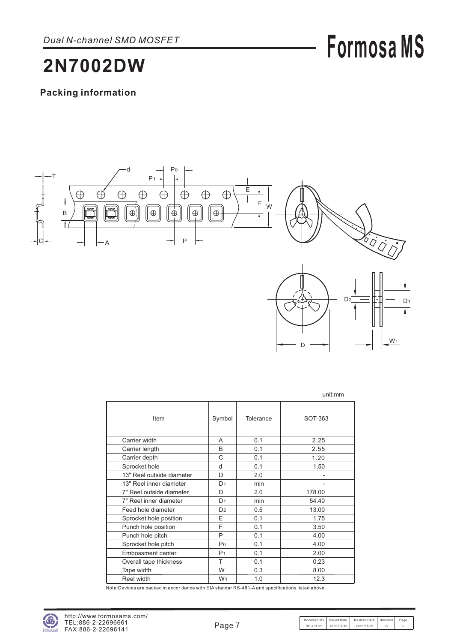## **Formosa MS**

### **2N7002DW**

#### **Packing information**



|                           |                |           | unit:mm |
|---------------------------|----------------|-----------|---------|
| Item                      | Symbol         | Tolerance | SOT-363 |
| Carrier width             | A              | 0.1       | 2.25    |
| Carrier length            | B              | 0.1       | 2.55    |
| Carrier depth             | C              | 0.1       | 1.20    |
| Sprocket hole             | d              | 0.1       | 1.50    |
| 13" Reel outside diameter | D              | 2.0       |         |
| 13" Reel inner diameter   | D <sub>1</sub> | min       |         |
| 7" Reel outside diameter  | D              | 2.0       | 178.00  |
| 7" Reel inner diameter    | D <sub>1</sub> | min       | 54.40   |
| Feed hole diameter        | D <sub>2</sub> | 0.5       | 13.00   |
| Sprocket hole position    | F              | 0.1       | 1.75    |
| Punch hole position       | F              | 0.1       | 3.50    |
| Punch hole pitch          | P              | 0.1       | 4.00    |
| Sprocket hole pitch       | P <sub>0</sub> | 0.1       | 4.00    |
| Embossment center         | P <sub>1</sub> | 0.1       | 2.00    |
| Overall tape thickness    | Т              | 0.1       | 0.23    |
| Tape width                | W              | 0.3       | 8.00    |
| Reel width                | W <sub>1</sub> | 1.0       | 12.3    |

Note:Devices are packed in accor dance with EIA standar RS-481-A and specifications listed above.

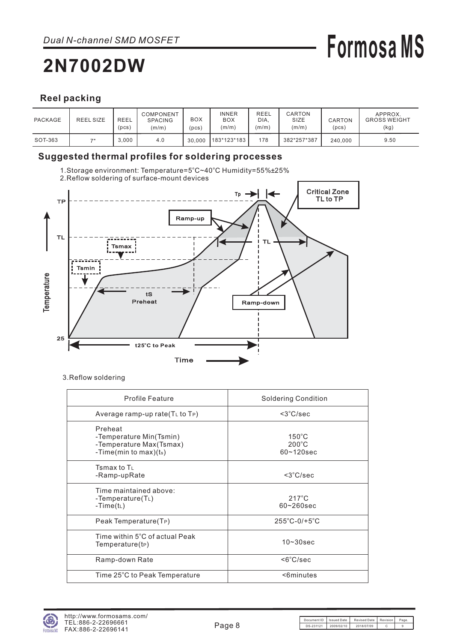# **Formosa MS**

#### **Reel packing**

| PACKAGE | <b>REEL SIZE</b> | <b>REEL</b><br>(pcs) | COMPONENT<br><b>SPACING</b><br>(m/m) | BOX<br>pcs) | INNER<br><b>BOX</b><br>(m/m) | REEL<br>DIA,<br>(m/m) | CARTON<br>SIZE<br>(m/m) | CARTON<br>(pcs) | APPROX.<br><b>GROSS WEIGHT</b><br>(kg) |
|---------|------------------|----------------------|--------------------------------------|-------------|------------------------------|-----------------------|-------------------------|-----------------|----------------------------------------|
| SOT-363 | 70               | 3.000                | 4.0                                  | 30.000      | 183*123*183                  | 178                   | 382*257*387             | 240.000         | 9.50                                   |

#### **Suggested thermal profiles for soldering processes**

1.Storage environment: Temperature=5°C~40°C Humidity=55%±25%



2.Reflow soldering of surface-mount devices

3.Reflow soldering

| <b>Profile Feature</b>                                                                    | <b>Soldering Condition</b>                           |
|-------------------------------------------------------------------------------------------|------------------------------------------------------|
| Average ramp-up rate $(TL$ to $TP)$                                                       | $<$ 3 $°C/sec$                                       |
| Preheat<br>-Temperature Min(Tsmin)<br>-Temperature Max(Tsmax)<br>-Time(min to max) $(ts)$ | $150^{\circ}$ C<br>$200^{\circ}$ C<br>$60 - 120$ sec |
| Tsmax to $T_{L}$<br>-Ramp-upRate                                                          | $<3^{\circ}$ C/sec                                   |
| Time maintained above:<br>-Temperature $(T_L)$<br>-Time( $t_L$ )                          | $217^{\circ}$ C<br>$60 - 260$ sec                    |
| Peak Temperature(TP)                                                                      | $255^{\circ}$ C-0/+5 $^{\circ}$ C                    |
| Time within 5°C of actual Peak<br>Temperature(tP)                                         | $10 - 30$ sec                                        |
| Ramp-down Rate                                                                            | $<6^{\circ}$ C/sec                                   |
| Time 25°C to Peak Temperature                                                             | <6minutes                                            |